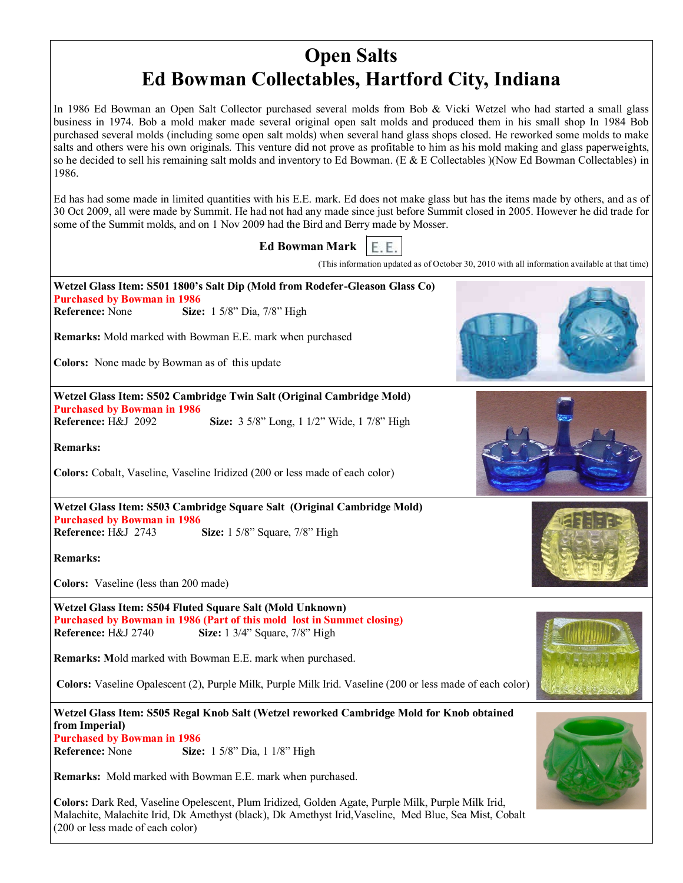## **Open Salts Ed Bowman Collectables, Hartford City, Indiana**

In 1986 Ed Bowman an Open Salt Collector purchased several molds from Bob & Vicki Wetzel who had started a small glass business in 1974. Bob a mold maker made several original open salt molds and produced them in his small shop In 1984 Bob purchased several molds (including some open salt molds) when several hand glass shops closed. He reworked some molds to make salts and others were his own originals. This venture did not prove as profitable to him as his mold making and glass paperweights, so he decided to sell his remaining salt molds and inventory to Ed Bowman. (E & E Collectables )(Now Ed Bowman Collectables) in 1986.

Ed has had some made in limited quantities with his E.E. mark. Ed does not make glass but has the items made by others, and as of 30 Oct 2009, all were made by Summit. He had not had any made since just before Summit closed in 2005. However he did trade for some of the Summit molds, and on 1 Nov 2009 had the Bird and Berry made by Mosser.



**Colors:** Dark Red, Vaseline Opelescent, Plum Iridized, Golden Agate, Purple Milk, Purple Milk Irid, Malachite, Malachite Irid, Dk Amethyst (black), Dk Amethyst Irid,Vaseline, Med Blue, Sea Mist, Cobalt (200 or less made of each color)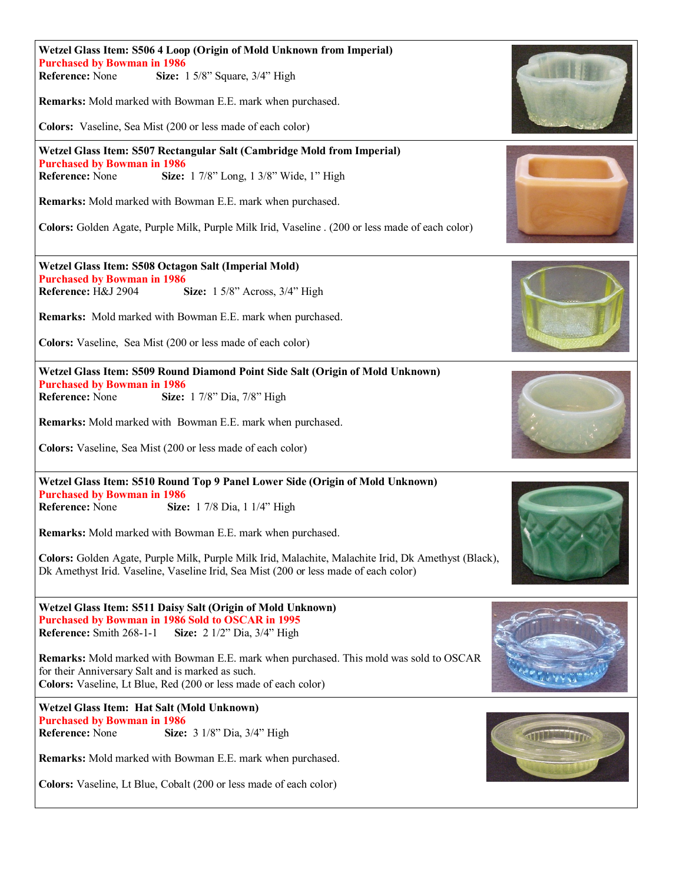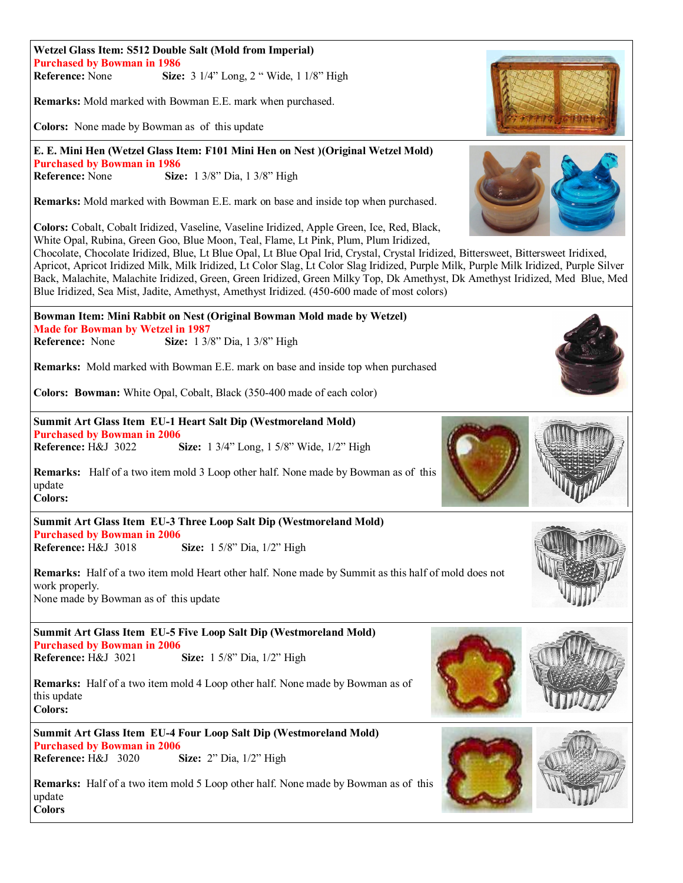